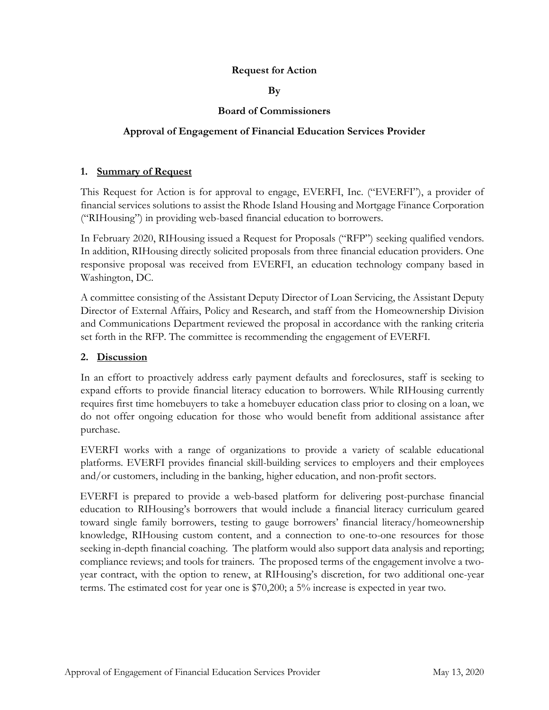# **Request for Action**

**By**

# **Board of Commissioners**

# **Approval of Engagement of Financial Education Services Provider**

### **1. Summary of Request**

This Request for Action is for approval to engage, EVERFI, Inc. ("EVERFI"), a provider of financial services solutions to assist the Rhode Island Housing and Mortgage Finance Corporation ("RIHousing") in providing web-based financial education to borrowers.

In February 2020, RIHousing issued a Request for Proposals ("RFP") seeking qualified vendors. In addition, RIHousing directly solicited proposals from three financial education providers. One responsive proposal was received from EVERFI, an education technology company based in Washington, DC.

A committee consisting of the Assistant Deputy Director of Loan Servicing, the Assistant Deputy Director of External Affairs, Policy and Research, and staff from the Homeownership Division and Communications Department reviewed the proposal in accordance with the ranking criteria set forth in the RFP. The committee is recommending the engagement of EVERFI.

# **2. Discussion**

In an effort to proactively address early payment defaults and foreclosures, staff is seeking to expand efforts to provide financial literacy education to borrowers. While RIHousing currently requires first time homebuyers to take a homebuyer education class prior to closing on a loan, we do not offer ongoing education for those who would benefit from additional assistance after purchase.

EVERFI works with a range of organizations to provide a variety of scalable educational platforms. EVERFI provides financial skill-building services to employers and their employees and/or customers, including in the banking, higher education, and non-profit sectors.

EVERFI is prepared to provide a web-based platform for delivering post-purchase financial education to RIHousing's borrowers that would include a financial literacy curriculum geared toward single family borrowers, testing to gauge borrowers' financial literacy/homeownership knowledge, RIHousing custom content, and a connection to one-to-one resources for those seeking in-depth financial coaching. The platform would also support data analysis and reporting; compliance reviews; and tools for trainers. The proposed terms of the engagement involve a twoyear contract, with the option to renew, at RIHousing's discretion, for two additional one-year terms. The estimated cost for year one is \$70,200; a 5% increase is expected in year two.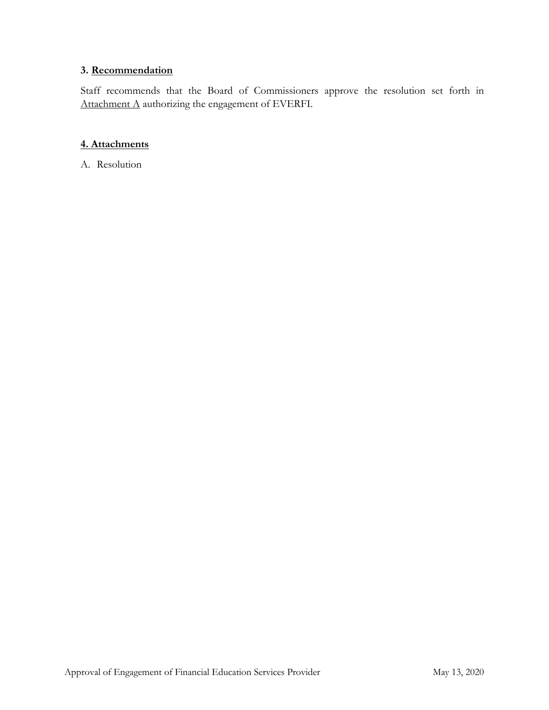# **3. Recommendation**

Staff recommends that the Board of Commissioners approve the resolution set forth in Attachment A authorizing the engagement of EVERFI.

# **4. Attachments**

A. Resolution